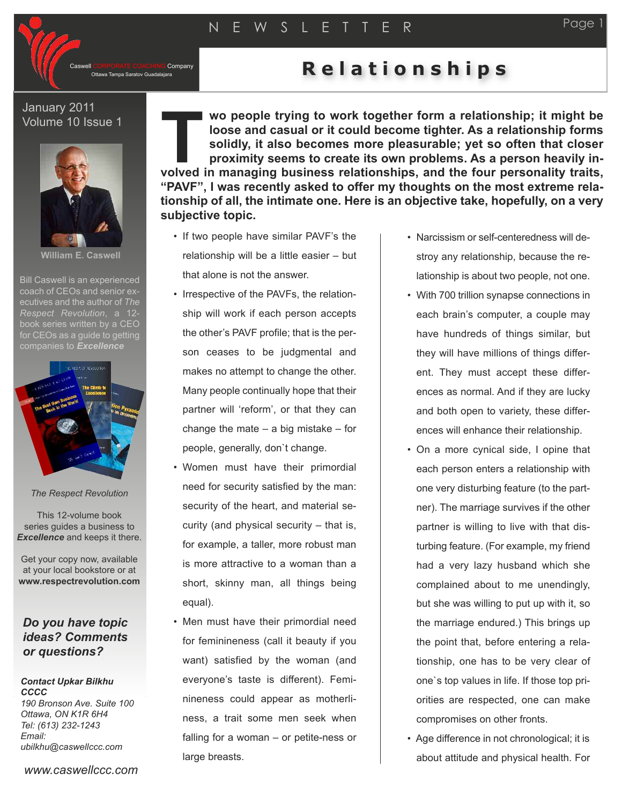CORPORATE COACHING Company<br>Ottawa Tampa Saratov Guadalajara

## **Relationships**

## January 2011 Volume 10 Issue 1



**William E. Caswell**

Bill Caswell is an experienced coach of CEOs and senior executives and the author of *The Respect Revolution*, a 12 book series written by a CEO for CEOs as a quide to getting



*The Respect Revolution*

This 12-volume book series guides a business to *Excellence* and keeps it there.

Get your copy now, available at your local bookstore or at **www.respectrevolution.com**

## *Do you have topic ideas? Comments or questions?*

## *Contact Upkar Bilkhu CCCC 190 Bronson Ave. Suite 100 Ottawa, ON K1R 6H4 Tel: (613) 232-1243 Email:*

*ubilkhu@caswellccc.com*

*www.caswellccc.com*

**wo people trying to work together form a relationship; it might be loose and casual or it could become tighter. As a relationship forms solidly, it also becomes more pleasurable; yet so often that closer proximity seems to create its own problems. As a person heavily ink** loose and casual or it could become tighter. As a relationship forms solidly, it also becomes more pleasurable; yet so often that closer proximity seems to create its own problems. As a person heavily involved in manag **"PAVF", I was recently asked to offer my thoughts on the most extreme relationship of all, the intimate one. Here is an objective take, hopefully, on a very subjective topic.**

- If two people have similar PAVF's the relationship will be a little easier – but that alone is not the answer.
- Irrespective of the PAVFs, the relationship will work if each person accepts the other's PAVF profile; that is the person ceases to be judgmental and makes no attempt to change the other. Many people continually hope that their partner will 'reform', or that they can change the mate  $-$  a big mistake  $-$  for people, generally, don`t change.
- Women must have their primordial need for security satisfied by the man: security of the heart, and material security (and physical security – that is, for example, a taller, more robust man is more attractive to a woman than a short, skinny man, all things being equal).
- Men must have their primordial need for feminineness (call it beauty if you want) satisfied by the woman (and everyone's taste is different). Feminineness could appear as motherliness, a trait some men seek when falling for a woman – or petite-ness or large breasts.
- Narcissism or self-centeredness will destroy any relationship, because the relationship is about two people, not one.
- With 700 trillion synapse connections in each brain's computer, a couple may have hundreds of things similar, but they will have millions of things different. They must accept these differences as normal. And if they are lucky and both open to variety, these differences will enhance their relationship.
- On a more cynical side, I opine that each person enters a relationship with one very disturbing feature (to the partner). The marriage survives if the other partner is willing to live with that disturbing feature. (For example, my friend had a very lazy husband which she complained about to me unendingly, but she was willing to put up with it, so the marriage endured.) This brings up the point that, before entering a relationship, one has to be very clear of one`s top values in life. If those top priorities are respected, one can make compromises on other fronts.
- Age difference in not chronological; it is about attitude and physical health. For